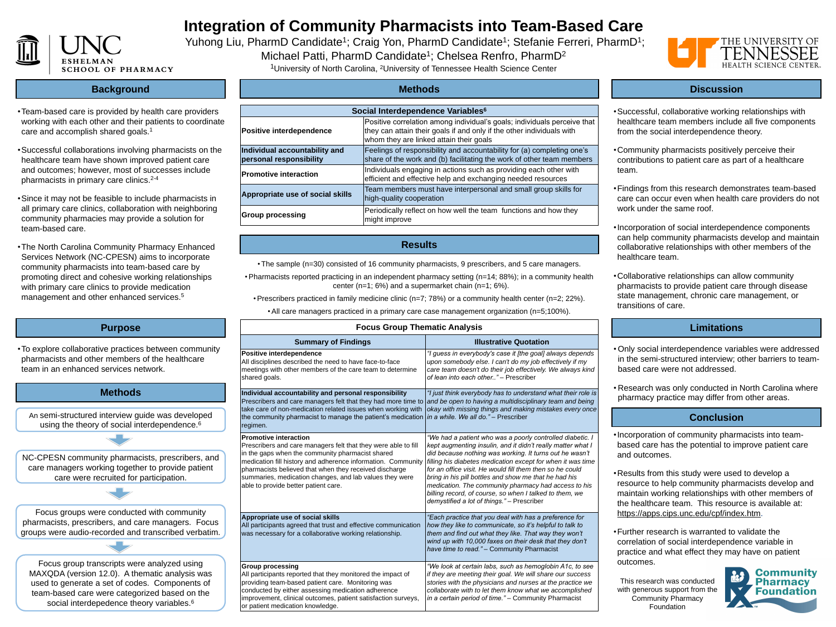- •Team-based care is provided by health care providers working with each other and their patients to coordinate care and accomplish shared goals.<sup>1</sup>
- •Successful collaborations involving pharmacists on the healthcare team have shown improved patient care and outcomes; however, most of successes include pharmacists in primary care clinics.2-4
- •Since it may not be feasible to include pharmacists in all primary care clinics, collaboration with neighboring community pharmacies may provide a solution for team-based care.
- •The North Carolina Community Pharmacy Enhanced Services Network (NC-CPESN) aims to incorporate community pharmacists into team-based care by promoting direct and cohesive working relationships with primary care clinics to provide medication management and other enhanced services.<sup>5</sup>





# **Background**

•To explore collaborative practices between community pharmacists and other members of the healthcare team in an enhanced services network.

> •Incorporation of community pharmacists into teambased care has the potential to improve patient care and outcomes.

•Results from this study were used to develop a resource to help community pharmacists develop and maintain working relationships with other members of the healthcare team. This resource is available at: https://apps.cips.unc.edu/cpf/index.htm.

•Further research is warranted to validate the correlation of social interdependence variable in practice and what effect they may have on patient outcomes.



# **Conclusion**

# **Limitations**

• Only social interdependence variables were addressed in the semi-structured interview; other barriers to teambased care were not addressed.

• Research was only conducted in North Carolina where pharmacy practice may differ from other areas.

## **Discussion**

# **Purpose**

# **Methods**

# **Focus Group Thematic Analysis**

### **Summary of Findings**









### **Promotive interaction**

Focus group transcripts were analyzed using MAXQDA (version 12.0). A thematic analysis was used to generate a set of codes. Components of team-based care were categorized based on the social interdepedence theory variables.<sup>6</sup>

# **Integration of Community Pharmacists into Team-Based Care** Yuhong Liu, PharmD Candidate<sup>1</sup>; Craig Yon, PharmD Candidate<sup>1</sup>; Stefanie Ferreri, PharmD<sup>1</sup>;

Michael Patti, PharmD Candidate<sup>1</sup>; Chelsea Renfro, PharmD<sup>2</sup>

<sup>1</sup> University of North Carolina, <sup>2</sup> University of Tennessee Health Science Center

| <b>Summary of Findings</b>                                                                                                                                                                                                                                                                                                                                                                                                    | <b>Illustrative Quotation</b>                                                                                                                                                                                                                                                                                                                                                                                                                                                                                                            |
|-------------------------------------------------------------------------------------------------------------------------------------------------------------------------------------------------------------------------------------------------------------------------------------------------------------------------------------------------------------------------------------------------------------------------------|------------------------------------------------------------------------------------------------------------------------------------------------------------------------------------------------------------------------------------------------------------------------------------------------------------------------------------------------------------------------------------------------------------------------------------------------------------------------------------------------------------------------------------------|
| Positive interdependence<br>All disciplines described the need to have face-to-face<br>meetings with other members of the care team to determine<br>shared goals.                                                                                                                                                                                                                                                             | "I guess in everybody's case it [the goal] always depends<br>upon somebody else. I can't do my job effectively if my<br>care team doesn't do their job effectively. We always kind<br>of lean into each other" – Prescriber                                                                                                                                                                                                                                                                                                              |
| Individual accountability and personal responsibility<br>Prescribers and care managers felt that they had more time to and be open to having a multidisciplinary team and being<br>take care of non-medication related issues when working with   okay with missing things and making mistakes every once <br>the community pharmacist to manage the patient's medication $ in a$ while. We all do." – Prescriber<br>regimen. | $\mid$ "I just think everybody has to understand what their role is $\mid$                                                                                                                                                                                                                                                                                                                                                                                                                                                               |
| <b>Promotive interaction</b><br>Prescribers and care managers felt that they were able to fill<br>in the gaps when the community pharmacist shared<br>medication fill history and adherence information. Community<br>pharmacists believed that when they received discharge<br>summaries, medication changes, and lab values they were<br>able to provide better patient care.                                               | "We had a patient who was a poorly controlled diabetic. I<br>kept augmenting insulin, and it didn't really matter what I<br>did because nothing was working. It turns out he wasn't<br>filling his diabetes medication except for when it was time<br>for an office visit. He would fill them then so he could<br>bring in his pill bottles and show me that he had his<br>medication. The community pharmacy had access to his<br>billing record, of course, so when I talked to them, we<br>demystified a lot of things." - Prescriber |
| <b>Appropriate use of social skills</b><br>All participants agreed that trust and effective communication<br>was necessary for a collaborative working relationship.                                                                                                                                                                                                                                                          | $\mid$ "Each practice that you deal with has a preference for<br>how they like to communicate, so it's helpful to talk to<br>them and find out what they like. That way they won't<br>wind up with 10,000 faxes on their desk that they don't<br>have time to read." - Community Pharmacist                                                                                                                                                                                                                                              |
| <b>Group processing</b><br>All participants reported that they monitored the impact of<br>providing team-based patient care. Monitoring was<br>conducted by either assessing medication adherence<br>improvement, clinical outcomes, patient satisfaction surveys,<br>or patient medication knowledge.                                                                                                                        | "We look at certain labs, such as hemoglobin A1c, to see<br>$\mid$ if they are meeting their goal. We will share our success<br>stories with the physicians and nurses at the practice we<br>collaborate with to let them know what we accomplished<br>in a certain period of time." – Community Pharmacist                                                                                                                                                                                                                              |

- 
- 
- 
- 

- 
- 
- 

**Appropriate use of social skills**

# **Methods** An semi-structured interview guide was developed using the theory of social interdependence.<sup>6</sup> NC-CPESN community pharmacists, prescribers, and care managers working together to provide patient care were recruited for participation. Focus groups were conducted with community pharmacists, prescribers, and care managers. Focus groups were audio-recorded and transcribed verbatim.

### **Group processing**



# **Results**

- 
- -
	-

•Successful, collaborative working relationships with healthcare team members include all five components from the social interdependence theory.

•Community pharmacists positively perceive their contributions to patient care as part of a healthcare team.

•Findings from this research demonstrates team-based care can occur even when health care providers do not work under the same roof.

•Incorporation of social interdependence components can help community pharmacists develop and maintain collaborative relationships with other members of the healthcare team.

•Collaborative relationships can allow community pharmacists to provide patient care through disease state management, chronic care management, or transitions of care.

### **Social Interdependence Variables 6**

tion among individual's goals; individuals perceive that their goals if and only if the other individuals with linked attain their goals

bonsibility and accountability for (a) completing one's

rk and (b) facilitating the work of other team members aging in actions such as providing each other with ective help and exchanging needed resources must have interpersonal and small group skills for peration

ect on how well the team functions and how they

• The sample (n=30) consisted of 16 community pharmacists, 9 prescribers, and 5 care managers.

|                                                          | <b>Social Interdeper</b>                                            |
|----------------------------------------------------------|---------------------------------------------------------------------|
| <b>Positive interdependence</b>                          | <b>Positive correlati</b><br>they can attain th<br>whom they are li |
| Individual accountability and<br>personal responsibility | Feelings of resp<br>share of the wor                                |
| <b>Promotive interaction</b>                             | Individuals enga<br>efficient and effe                              |
| <b>Appropriate use of social skills</b>                  | <b>Team members</b><br>high-quality coop                            |
| <b>Group processing</b>                                  | <b>Periodically refle</b><br>might improve                          |

This research was conducted with generous support from the Community Pharmacy Foundation





•Pharmacists reported practicing in an independent pharmacy setting (n=14; 88%); in a community health center (n=1; 6%) and a supermarket chain (n=1; 6%).

•Prescribers practiced in family medicine clinic (n=7; 78%) or a community health center (n=2; 22%).

•All care managers practiced in a primary care case management organization (n=5;100%).